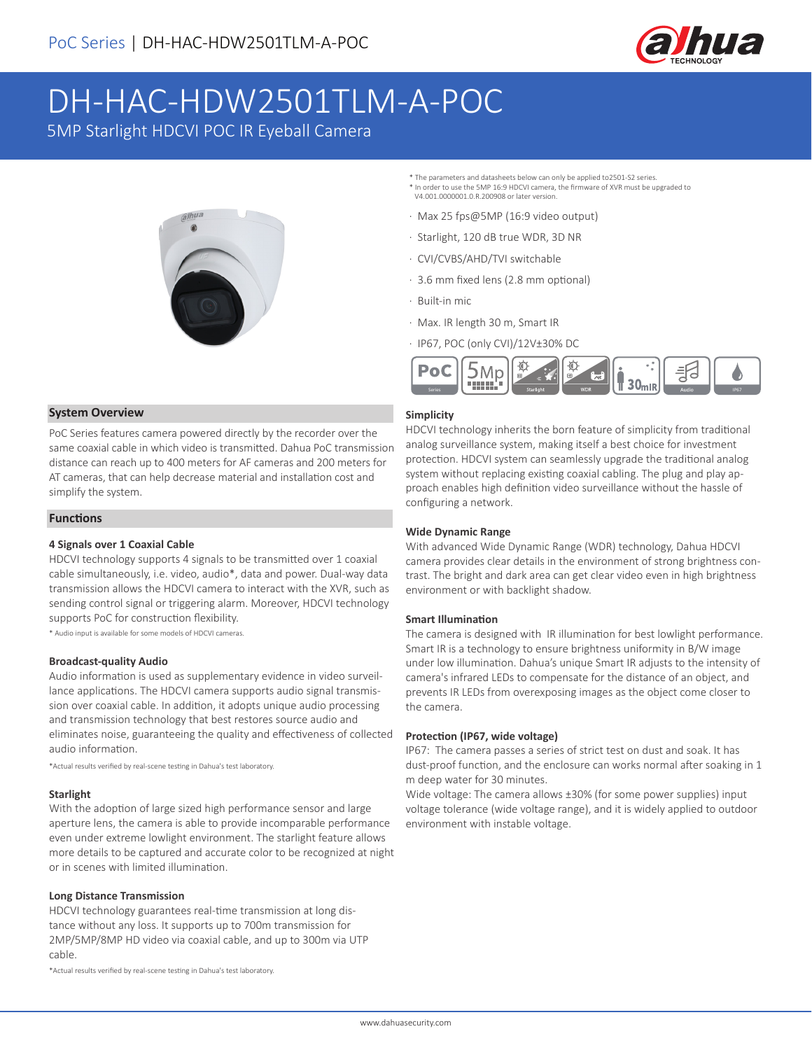

# DH-HAC-HDW2501TLM-A-POC

5MP Starlight HDCVI POC IR Eyeball Camera



\* The parameters and datasheets below can only be applied to2501-S2 series. \* In order to use the 5MP 16:9 HDCVI camera, the firmware of XVR must be upgraded to V4.001.0000001.0.R.200908 or later version.

- · Max 25 fps@5MP (16:9 video output)
- · Starlight, 120 dB true WDR, 3D NR
- · CVI/CVBS/AHD/TVI switchable
- · 3.6 mm fixed lens (2.8 mm optional)
- · Built-in mic
- · Max. IR length 30 m, Smart IR
- · IP67, POC (only CVI)/12V±30% DC



# **System Overview**

PoC Series features camera powered directly by the recorder over the same coaxial cable in which video is transmitted. Dahua PoC transmission distance can reach up to 400 meters for AF cameras and 200 meters for AT cameras, that can help decrease material and installation cost and simplify the system.

# **Functions**

# **4 Signals over 1 Coaxial Cable**

HDCVI technology supports 4 signals to be transmitted over 1 coaxial cable simultaneously, i.e. video, audio\*, data and power. Dual-way data transmission allows the HDCVI camera to interact with the XVR, such as sending control signal or triggering alarm. Moreover, HDCVI technology supports PoC for construction flexibility.

\* Audio input is available for some models of HDCVI cameras.

#### **Broadcast-quality Audio**

Audio information is used as supplementary evidence in video surveillance applications. The HDCVI camera supports audio signal transmission over coaxial cable. In addition, it adopts unique audio processing and transmission technology that best restores source audio and eliminates noise, guaranteeing the quality and effectiveness of collected audio information.

\*Actual results verified by real-scene testing in Dahua's test laboratory.

# **Starlight**

With the adoption of large sized high performance sensor and large aperture lens, the camera is able to provide incomparable performance even under extreme lowlight environment. The starlight feature allows more details to be captured and accurate color to be recognized at night or in scenes with limited illumination.

#### **Long Distance Transmission**

HDCVI technology guarantees real-time transmission at long distance without any loss. It supports up to 700m transmission for 2MP/5MP/8MP HD video via coaxial cable, and up to 300m via UTP cable.

\*Actual results verified by real-scene testing in Dahua's test laboratory.

#### **Simplicity**

HDCVI technology inherits the born feature of simplicity from traditional analog surveillance system, making itself a best choice for investment protection. HDCVI system can seamlessly upgrade the traditional analog system without replacing existing coaxial cabling. The plug and play approach enables high definition video surveillance without the hassle of configuring a network.

# **Wide Dynamic Range**

With advanced Wide Dynamic Range (WDR) technology, Dahua HDCVI camera provides clear details in the environment of strong brightness contrast. The bright and dark area can get clear video even in high brightness environment or with backlight shadow.

#### **Smart Illumination**

The camera is designed with IR illumination for best lowlight performance. Smart IR is a technology to ensure brightness uniformity in B/W image under low illumination. Dahua's unique Smart IR adjusts to the intensity of camera's infrared LEDs to compensate for the distance of an object, and prevents IR LEDs from overexposing images as the object come closer to the camera.

#### **Protection (IP67, wide voltage)**

IP67: The camera passes a series of strict test on dust and soak. It has dust-proof function, and the enclosure can works normal after soaking in 1 m deep water for 30 minutes.

Wide voltage: The camera allows ±30% (for some power supplies) input voltage tolerance (wide voltage range), and it is widely applied to outdoor environment with instable voltage.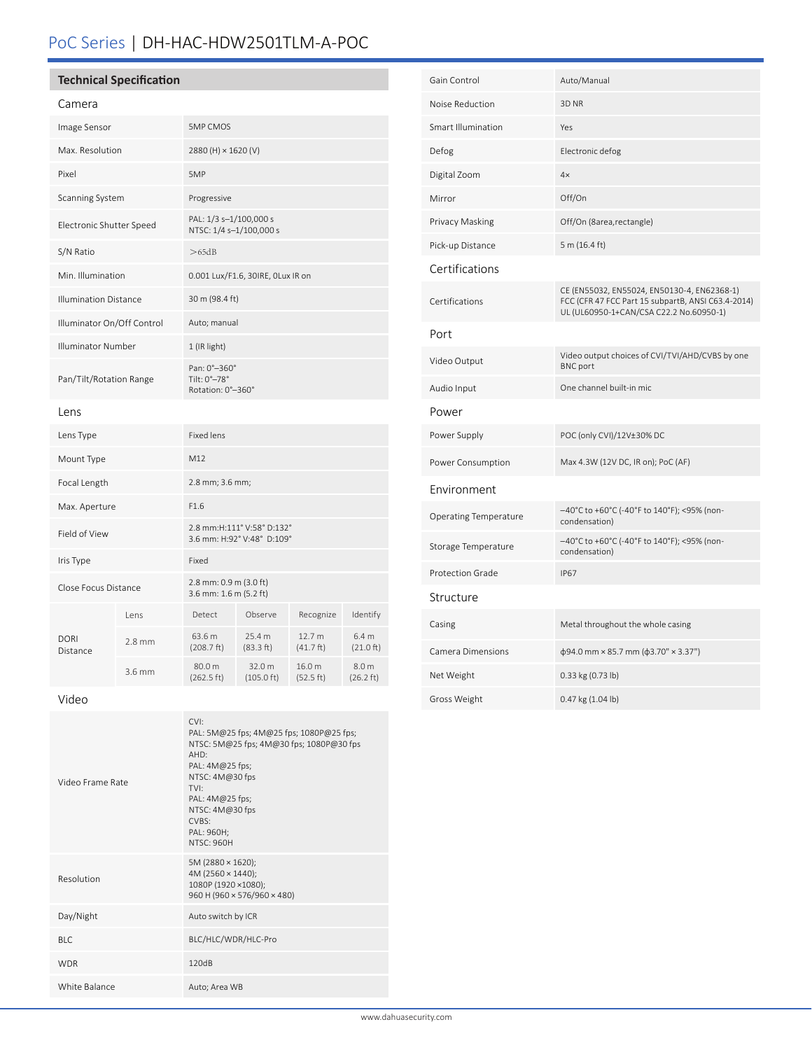# PoC Series | DH-HAC-HDW2501TLM-A-POC

# **Technical Specification**

# Camera

| Image Sensor                 |                  | <b>5MP CMOS</b>                                          |                                |                     |                                         |
|------------------------------|------------------|----------------------------------------------------------|--------------------------------|---------------------|-----------------------------------------|
| Max. Resolution              |                  | 2880 (H) × 1620 (V)                                      |                                |                     |                                         |
| Pixel                        |                  | 5MP                                                      |                                |                     |                                         |
| <b>Scanning System</b>       |                  | Progressive                                              |                                |                     |                                         |
| Electronic Shutter Speed     |                  | PAL: 1/3 s-1/100,000 s<br>NTSC: 1/4 s-1/100,000 s        |                                |                     |                                         |
| S/N Ratio                    |                  | >65dB                                                    |                                |                     |                                         |
| Min. Illumination            |                  | 0.001 Lux/F1.6, 30IRE, OLux IR on                        |                                |                     |                                         |
| <b>Illumination Distance</b> |                  | 30 m (98.4 ft)                                           |                                |                     |                                         |
| Illuminator On/Off Control   |                  | Auto; manual                                             |                                |                     |                                         |
| <b>Illuminator Number</b>    |                  | 1 (IR light)                                             |                                |                     |                                         |
| Pan/Tilt/Rotation Range      |                  | Pan: 0°-360°<br>Tilt: 0°-78°<br>Rotation: 0°-360°        |                                |                     |                                         |
| Lens                         |                  |                                                          |                                |                     |                                         |
| Lens Type                    |                  | <b>Fixed lens</b>                                        |                                |                     |                                         |
| Mount Type                   |                  | M12                                                      |                                |                     |                                         |
| Focal Length                 |                  | 2.8 mm; 3.6 mm;                                          |                                |                     |                                         |
| Max. Aperture                |                  | F1.6                                                     |                                |                     |                                         |
| Field of View                |                  | 2.8 mm:H:111° V:58° D:132°<br>3.6 mm: H:92° V:48° D:109° |                                |                     |                                         |
| Iris Type                    |                  | Fixed                                                    |                                |                     |                                         |
| Close Focus Distance         |                  | 2.8 mm: 0.9 m (3.0 ft)<br>3.6 mm: 1.6 m (5.2 ft)         |                                |                     |                                         |
| <b>DORI</b><br>Distance      | Lens             | Detect                                                   | Observe                        | Recognize           | Identify                                |
|                              | $2.8 \text{ mm}$ | 63.6 m<br>(208.7 ft)                                     | 25.4 m<br>(83.3 ft)            | 12.7 m<br>(41.7 ft) | 6.4 <sub>m</sub><br>(21.0 ft)           |
|                              | 3.6 mm           | 80.0 m<br>(262.5 ft)                                     | 32.0 m<br>$(105.0 \text{ ft})$ | 16.0 m<br>(52.5 ft) | 8.0 <sub>m</sub><br>$(26.2 \text{ ft})$ |

Video

| Video Frame Rate | CVI:<br>PAL: 5M@25 fps; 4M@25 fps; 1080P@25 fps;<br>NTSC: 5M@25 fps; 4M@30 fps; 1080P@30 fps<br>AHD:<br>PAL: 4M@25 fps;<br>NTSC: 4M@30 fps<br>TVI:<br>PAL: 4M@25 fps;<br>NTSC: 4M@30 fps<br>CVBS:<br>PAL: 960H;<br><b>NTSC: 960H</b> |
|------------------|--------------------------------------------------------------------------------------------------------------------------------------------------------------------------------------------------------------------------------------|
| Resolution       | 5M (2880 × 1620);<br>$4M(2560 \times 1440);$<br>1080P (1920 × 1080);<br>960 H (960 × 576/960 × 480)                                                                                                                                  |
| Day/Night        | Auto switch by ICR                                                                                                                                                                                                                   |
| <b>BLC</b>       | BLC/HLC/WDR/HLC-Pro                                                                                                                                                                                                                  |
| <b>WDR</b>       | 120dB                                                                                                                                                                                                                                |
| White Balance    | Auto; Area WB                                                                                                                                                                                                                        |

| Gain Control                 | Auto/Manual                                                                                                                                  |  |  |  |
|------------------------------|----------------------------------------------------------------------------------------------------------------------------------------------|--|--|--|
| Noise Reduction              | 3D <sub>NR</sub>                                                                                                                             |  |  |  |
| Smart Illumination           | Yes                                                                                                                                          |  |  |  |
| Defog                        | Electronic defog                                                                                                                             |  |  |  |
| Digital Zoom                 | 4x                                                                                                                                           |  |  |  |
| Mirror                       | Off/On                                                                                                                                       |  |  |  |
| Privacy Masking              | Off/On (8area, rectangle)                                                                                                                    |  |  |  |
| Pick-up Distance             | 5 m (16.4 ft)                                                                                                                                |  |  |  |
| Certifications               |                                                                                                                                              |  |  |  |
| Certifications               | CE (EN55032, EN55024, EN50130-4, EN62368-1)<br>FCC (CFR 47 FCC Part 15 subpartB, ANSI C63.4-2014)<br>UL (UL60950-1+CAN/CSA C22.2 No.60950-1) |  |  |  |
| Port                         |                                                                                                                                              |  |  |  |
| Video Output                 | Video output choices of CVI/TVI/AHD/CVBS by one<br><b>BNC</b> port                                                                           |  |  |  |
| Audio Input                  | One channel built-in mic                                                                                                                     |  |  |  |
| Power                        |                                                                                                                                              |  |  |  |
| Power Supply                 | POC (only CVI)/12V±30% DC                                                                                                                    |  |  |  |
| Power Consumption            | Max 4.3W (12V DC, IR on); PoC (AF)                                                                                                           |  |  |  |
| Environment                  |                                                                                                                                              |  |  |  |
| <b>Operating Temperature</b> | –40°C to +60°C (-40°F to 140°F); <95% (non-<br>condensation)                                                                                 |  |  |  |
| Storage Temperature          | -40°C to +60°C (-40°F to 140°F); <95% (non-<br>condensation)                                                                                 |  |  |  |
| <b>Protection Grade</b>      | <b>IP67</b>                                                                                                                                  |  |  |  |
| Structure                    |                                                                                                                                              |  |  |  |
| Casing                       | Metal throughout the whole casing                                                                                                            |  |  |  |
| <b>Camera Dimensions</b>     | $\phi$ 94.0 mm × 85.7 mm ( $\phi$ 3.70" × 3.37")                                                                                             |  |  |  |
| Net Weight                   | 0.33 kg (0.73 lb)                                                                                                                            |  |  |  |
| Gross Weight                 | 0.47 kg (1.04 lb)                                                                                                                            |  |  |  |